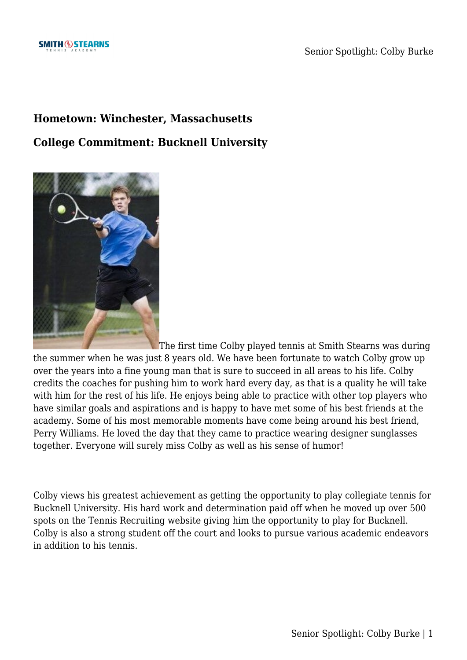## **Hometown: Winchester, Massachusetts**

## **College Commitment: Bucknell University**



The first time Colby played tennis at Smith Stearns was during the summer when he was just 8 years old. We have been fortunate to watch Colby grow up over the years into a fine young man that is sure to succeed in all areas to his life. Colby credits the coaches for pushing him to work hard every day, as that is a quality he will take with him for the rest of his life. He enjoys being able to practice with other top players who have similar goals and aspirations and is happy to have met some of his best friends at the academy. Some of his most memorable moments have come being around his best friend, Perry Williams. He loved the day that they came to practice wearing designer sunglasses together. Everyone will surely miss Colby as well as his sense of humor!

Colby views his greatest achievement as getting the opportunity to play collegiate tennis for Bucknell University. His hard work and determination paid off when he moved up over 500 spots on the Tennis Recruiting website giving him the opportunity to play for Bucknell. Colby is also a strong student off the court and looks to pursue various academic endeavors in addition to his tennis.